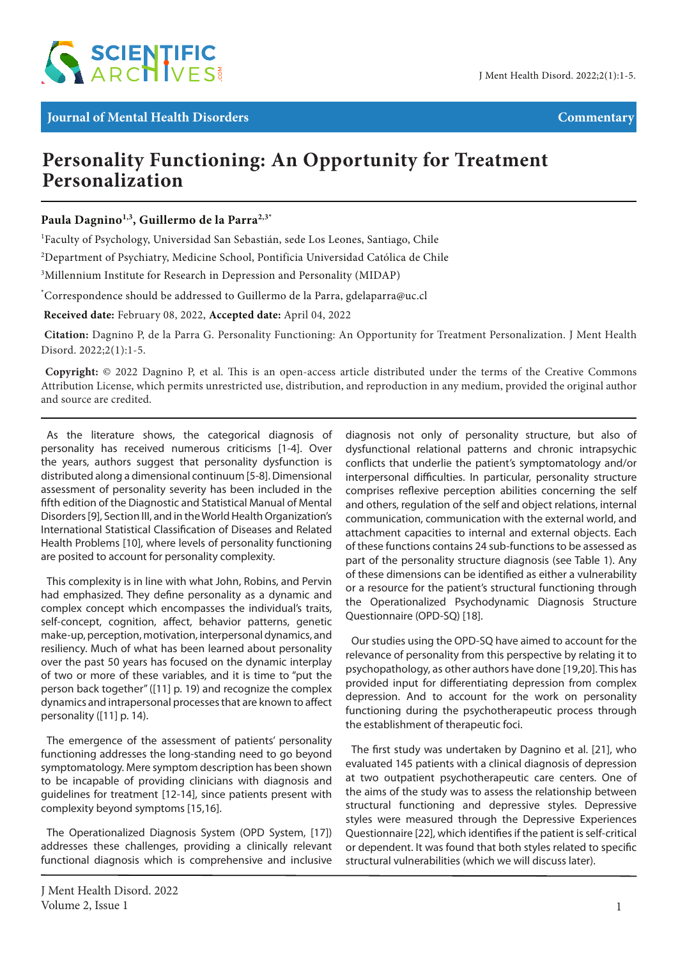

## **Personality Functioning: An Opportunity for Treatment Personalization**

Paula Dagnino<sup>1,3</sup>, Guillermo de la Parra<sup>2,3\*</sup>

1 Faculty of Psychology, Universidad San Sebastián, sede Los Leones, Santiago, Chile

 $^{2}$ Department of Psychiatry, Medicine School, Pontificia Universidad Católica de Chile

<sup>3</sup>Millennium Institute for Research in Depression and Personality (MIDAP)

\* Correspondence should be addressed to Guillermo de la Parra, gdelaparra@uc.cl

 **Received date:** February 08, 2022, **Accepted date:** April 04, 2022

**Citation:** Dagnino P, de la Parra G. Personality Functioning: An Opportunity for Treatment Personalization. J Ment Health Disord. 2022;2(1):1-5.

 **Copyright:** © 2022 Dagnino P, et al. This is an open-access article distributed under the terms of the Creative Commons Attribution License, which permits unrestricted use, distribution, and reproduction in any medium, provided the original author and source are credited.

As the literature shows, the categorical diagnosis of personality has received numerous criticisms [1-4]. Over the years, authors suggest that personality dysfunction is distributed along a dimensional continuum [5-8]. Dimensional assessment of personality severity has been included in the fifth edition of the Diagnostic and Statistical Manual of Mental Disorders [9], Section III, and in the World Health Organization's International Statistical Classification of Diseases and Related Health Problems [10], where levels of personality functioning are posited to account for personality complexity.

This complexity is in line with what John, Robins, and Pervin had emphasized. They define personality as a dynamic and complex concept which encompasses the individual's traits, self-concept, cognition, affect, behavior patterns, genetic make-up, perception, motivation, interpersonal dynamics, and resiliency. Much of what has been learned about personality over the past 50 years has focused on the dynamic interplay of two or more of these variables, and it is time to "put the person back together" ([11] p. 19) and recognize the complex dynamics and intrapersonal processes that are known to affect personality ([11] p. 14).

The emergence of the assessment of patients' personality functioning addresses the long-standing need to go beyond symptomatology. Mere symptom description has been shown to be incapable of providing clinicians with diagnosis and guidelines for treatment [12-14], since patients present with complexity beyond symptoms [15,16].

The Operationalized Diagnosis System (OPD System, [17]) addresses these challenges, providing a clinically relevant functional diagnosis which is comprehensive and inclusive

diagnosis not only of personality structure, but also of dysfunctional relational patterns and chronic intrapsychic conflicts that underlie the patient's symptomatology and/or interpersonal difficulties. In particular, personality structure comprises reflexive perception abilities concerning the self and others, regulation of the self and object relations, internal communication, communication with the external world, and attachment capacities to internal and external objects. Each of these functions contains 24 sub-functions to be assessed as part of the personality structure diagnosis (see Table 1). Any of these dimensions can be identified as either a vulnerability or a resource for the patient's structural functioning through the Operationalized Psychodynamic Diagnosis Structure Questionnaire (OPD-SQ) [18].

Our studies using the OPD-SQ have aimed to account for the relevance of personality from this perspective by relating it to psychopathology, as other authors have done [19,20]. This has provided input for differentiating depression from complex depression. And to account for the work on personality functioning during the psychotherapeutic process through the establishment of therapeutic foci.

The first study was undertaken by Dagnino et al. [21], who evaluated 145 patients with a clinical diagnosis of depression at two outpatient psychotherapeutic care centers. One of the aims of the study was to assess the relationship between structural functioning and depressive styles. Depressive styles were measured through the Depressive Experiences Questionnaire [22], which identifies if the patient is self-critical or dependent. It was found that both styles related to specific structural vulnerabilities (which we will discuss later).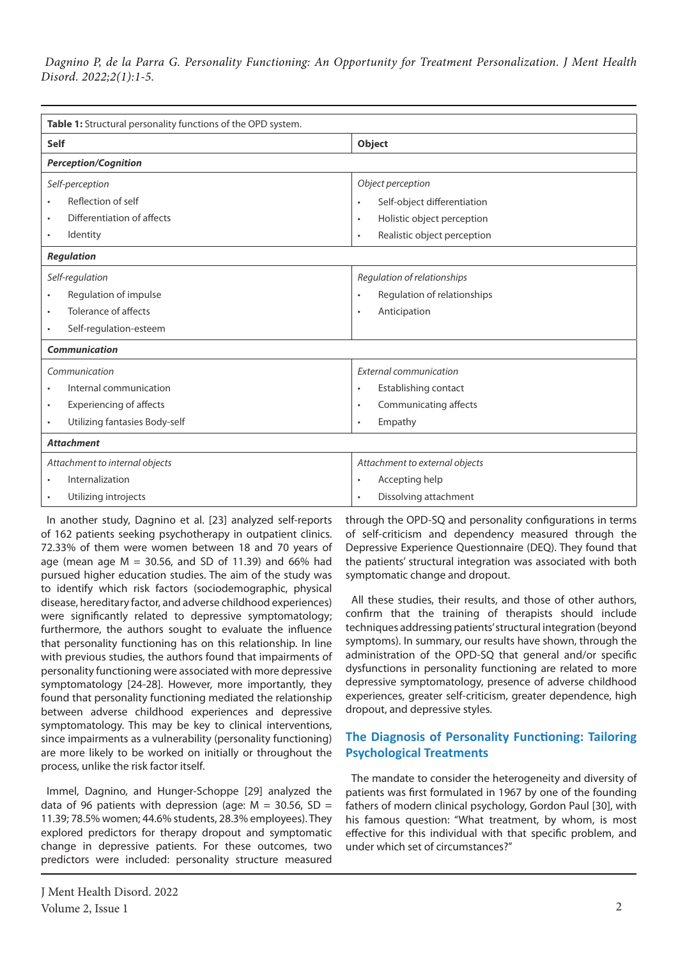| Table 1: Structural personality functions of the OPD system. |                                          |
|--------------------------------------------------------------|------------------------------------------|
| <b>Self</b>                                                  | Object                                   |
| <b>Perception/Cognition</b>                                  |                                          |
| Self-perception                                              | Object perception                        |
| Reflection of self                                           | Self-object differentiation<br>$\bullet$ |
| Differentiation of affects<br>٠                              | Holistic object perception<br>$\bullet$  |
| Identity<br>$\bullet$                                        | Realistic object perception<br>$\bullet$ |
| <b>Regulation</b>                                            |                                          |
| Self-regulation                                              | Regulation of relationships              |
| Regulation of impulse                                        | Regulation of relationships<br>$\bullet$ |
| Tolerance of affects<br>٠                                    | Anticipation<br>$\bullet$                |
| Self-regulation-esteem<br>٠                                  |                                          |
| <b>Communication</b>                                         |                                          |
| Communication                                                | External communication                   |
| Internal communication<br>٠                                  | Establishing contact<br>$\bullet$        |
| <b>Experiencing of affects</b><br>$\bullet$                  | Communicating affects<br>$\bullet$       |
| Utilizing fantasies Body-self<br>$\bullet$                   | Empathy<br>$\bullet$                     |
| <b>Attachment</b>                                            |                                          |
| Attachment to internal objects                               | Attachment to external objects           |
| Internalization                                              | Accepting help<br>$\bullet$              |
| Utilizing introjects                                         | Dissolving attachment<br>$\bullet$       |

In another study, Dagnino et al. [23] analyzed self-reports of 162 patients seeking psychotherapy in outpatient clinics. 72.33% of them were women between 18 and 70 years of age (mean age  $M = 30.56$ , and SD of 11.39) and 66% had pursued higher education studies. The aim of the study was to identify which risk factors (sociodemographic, physical disease, hereditary factor, and adverse childhood experiences) were significantly related to depressive symptomatology; furthermore, the authors sought to evaluate the influence that personality functioning has on this relationship. In line with previous studies, the authors found that impairments of personality functioning were associated with more depressive symptomatology [24-28]. However, more importantly, they found that personality functioning mediated the relationship between adverse childhood experiences and depressive symptomatology. This may be key to clinical interventions, since impairments as a vulnerability (personality functioning) are more likely to be worked on initially or throughout the process, unlike the risk factor itself.

Immel, Dagnino, and Hunger-Schoppe [29] analyzed the data of 96 patients with depression (age:  $M = 30.56$ , SD = 11.39; 78.5% women; 44.6% students, 28.3% employees). They explored predictors for therapy dropout and symptomatic change in depressive patients. For these outcomes, two predictors were included: personality structure measured

J Ment Health Disord. 2022 Volume 2, Issue 1  $\qquad 2$ 

through the OPD-SQ and personality configurations in terms of self-criticism and dependency measured through the Depressive Experience Questionnaire (DEQ). They found that the patients' structural integration was associated with both symptomatic change and dropout.

All these studies, their results, and those of other authors, confirm that the training of therapists should include techniques addressing patients' structural integration (beyond symptoms). In summary, our results have shown, through the administration of the OPD-SQ that general and/or specific dysfunctions in personality functioning are related to more depressive symptomatology, presence of adverse childhood experiences, greater self-criticism, greater dependence, high dropout, and depressive styles.

## **The Diagnosis of Personality Functioning: Tailoring Psychological Treatments**

The mandate to consider the heterogeneity and diversity of patients was first formulated in 1967 by one of the founding fathers of modern clinical psychology, Gordon Paul [30], with his famous question: "What treatment, by whom, is most effective for this individual with that specific problem, and under which set of circumstances?"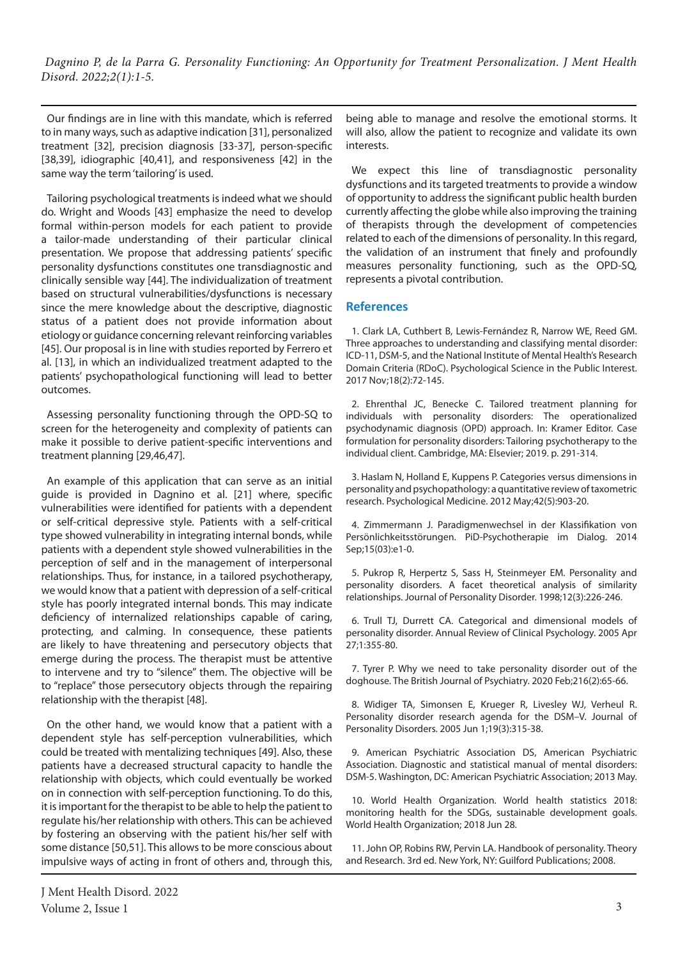Our findings are in line with this mandate, which is referred to in many ways, such as adaptive indication [31], personalized treatment [32], precision diagnosis [33-37], person-specific [38,39], idiographic [40,41], and responsiveness [42] in the same way the term 'tailoring' is used.

Tailoring psychological treatments is indeed what we should do. Wright and Woods [43] emphasize the need to develop formal within-person models for each patient to provide a tailor-made understanding of their particular clinical presentation. We propose that addressing patients' specific personality dysfunctions constitutes one transdiagnostic and clinically sensible way [44]. The individualization of treatment based on structural vulnerabilities/dysfunctions is necessary since the mere knowledge about the descriptive, diagnostic status of a patient does not provide information about etiology or guidance concerning relevant reinforcing variables [45]. Our proposal is in line with studies reported by Ferrero et al. [13], in which an individualized treatment adapted to the patients' psychopathological functioning will lead to better outcomes.

Assessing personality functioning through the OPD-SQ to screen for the heterogeneity and complexity of patients can make it possible to derive patient-specific interventions and treatment planning [29,46,47].

An example of this application that can serve as an initial guide is provided in Dagnino et al. [21] where, specific vulnerabilities were identified for patients with a dependent or self-critical depressive style. Patients with a self-critical type showed vulnerability in integrating internal bonds, while patients with a dependent style showed vulnerabilities in the perception of self and in the management of interpersonal relationships. Thus, for instance, in a tailored psychotherapy, we would know that a patient with depression of a self-critical style has poorly integrated internal bonds. This may indicate deficiency of internalized relationships capable of caring, protecting, and calming. In consequence, these patients are likely to have threatening and persecutory objects that emerge during the process. The therapist must be attentive to intervene and try to "silence" them. The objective will be to "replace" those persecutory objects through the repairing relationship with the therapist [48].

On the other hand, we would know that a patient with a dependent style has self-perception vulnerabilities, which could be treated with mentalizing techniques [49]. Also, these patients have a decreased structural capacity to handle the relationship with objects, which could eventually be worked on in connection with self-perception functioning. To do this, it is important for the therapist to be able to help the patient to regulate his/her relationship with others. This can be achieved by fostering an observing with the patient his/her self with some distance [50,51]. This allows to be more conscious about impulsive ways of acting in front of others and, through this, being able to manage and resolve the emotional storms. It will also, allow the patient to recognize and validate its own interests.

We expect this line of transdiagnostic personality dysfunctions and its targeted treatments to provide a window of opportunity to address the significant public health burden currently affecting the globe while also improving the training of therapists through the development of competencies related to each of the dimensions of personality. In this regard, the validation of an instrument that finely and profoundly measures personality functioning, such as the OPD-SQ, represents a pivotal contribution.

## **References**

1. Clark LA, Cuthbert B, Lewis-Fernández R, Narrow WE, Reed GM. Three approaches to understanding and classifying mental disorder: ICD-11, DSM-5, and the National Institute of Mental Health's Research Domain Criteria (RDoC). Psychological Science in the Public Interest. 2017 Nov;18(2):72-145.

2. Ehrenthal JC, Benecke C. Tailored treatment planning for individuals with personality disorders: The operationalized psychodynamic diagnosis (OPD) approach. In: Kramer Editor. Case formulation for personality disorders: Tailoring psychotherapy to the individual client. Cambridge, MA: Elsevier; 2019. p. 291-314.

3. Haslam N, Holland E, Kuppens P. Categories versus dimensions in personality and psychopathology: a quantitative review of taxometric research. Psychological Medicine. 2012 May;42(5):903-20.

4. Zimmermann J. Paradigmenwechsel in der Klassifikation von Persönlichkeitsstörungen. PiD-Psychotherapie im Dialog. 2014 Sep;15(03):e1-0.

5. Pukrop R, Herpertz S, Sass H, Steinmeyer EM. Personality and personality disorders. A facet theoretical analysis of similarity relationships. Journal of Personality Disorder. 1998;12(3):226-246.

6. Trull TJ, Durrett CA. Categorical and dimensional models of personality disorder. Annual Review of Clinical Psychology. 2005 Apr 27;1:355-80.

7. Tyrer P. Why we need to take personality disorder out of the doghouse. The British Journal of Psychiatry. 2020 Feb;216(2):65-66.

8. Widiger TA, Simonsen E, Krueger R, Livesley WJ, Verheul R. Personality disorder research agenda for the DSM–V. Journal of Personality Disorders. 2005 Jun 1;19(3):315-38.

9. American Psychiatric Association DS, American Psychiatric Association. Diagnostic and statistical manual of mental disorders: DSM-5. Washington, DC: American Psychiatric Association; 2013 May.

10. World Health Organization. World health statistics 2018: monitoring health for the SDGs, sustainable development goals. World Health Organization; 2018 Jun 28.

11. John OP, Robins RW, Pervin LA. Handbook of personality. Theory and Research. 3rd ed. New York, NY: Guilford Publications; 2008.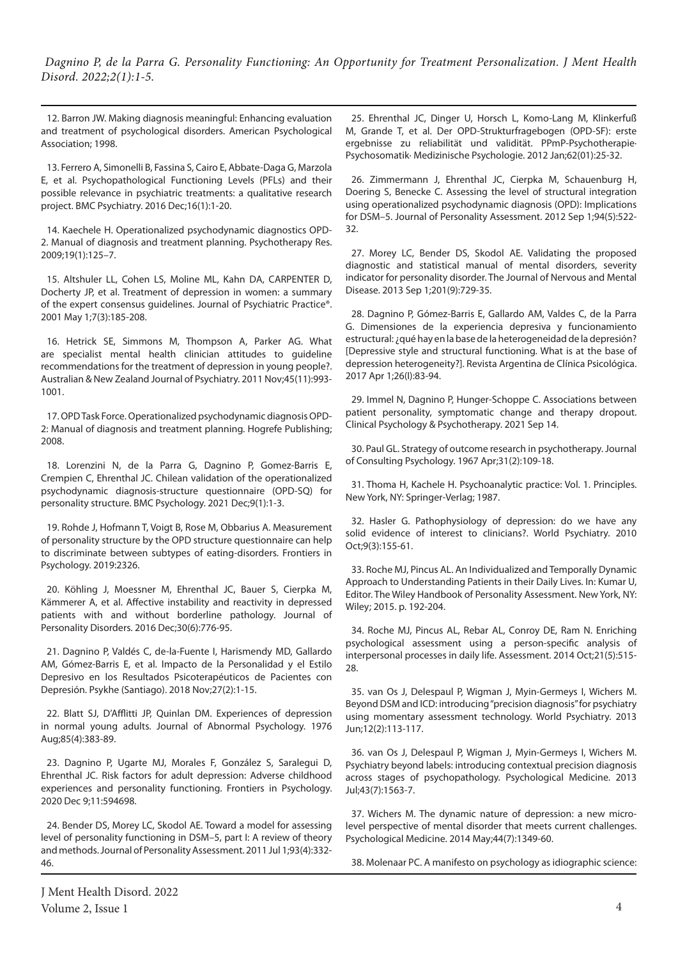12. Barron JW. Making diagnosis meaningful: Enhancing evaluation and treatment of psychological disorders. American Psychological Association; 1998.

13. Ferrero A, Simonelli B, Fassina S, Cairo E, Abbate-Daga G, Marzola E, et al. Psychopathological Functioning Levels (PFLs) and their possible relevance in psychiatric treatments: a qualitative research project. BMC Psychiatry. 2016 Dec;16(1):1-20.

14. Kaechele H. Operationalized psychodynamic diagnostics OPD-2. Manual of diagnosis and treatment planning. Psychotherapy Res. 2009;19(1):125–7.

15. Altshuler LL, Cohen LS, Moline ML, Kahn DA, CARPENTER D, Docherty JP, et al. Treatment of depression in women: a summary of the expert consensus guidelines. Journal of Psychiatric Practice®. 2001 May 1;7(3):185-208.

16. Hetrick SE, Simmons M, Thompson A, Parker AG. What are specialist mental health clinician attitudes to guideline recommendations for the treatment of depression in young people?. Australian & New Zealand Journal of Psychiatry. 2011 Nov;45(11):993- 1001.

17. OPD Task Force. Operationalized psychodynamic diagnosis OPD-2: Manual of diagnosis and treatment planning. Hogrefe Publishing; 2008.

18. Lorenzini N, de la Parra G, Dagnino P, Gomez-Barris E, Crempien C, Ehrenthal JC. Chilean validation of the operationalized psychodynamic diagnosis-structure questionnaire (OPD-SQ) for personality structure. BMC Psychology. 2021 Dec;9(1):1-3.

19. Rohde J, Hofmann T, Voigt B, Rose M, Obbarius A. Measurement of personality structure by the OPD structure questionnaire can help to discriminate between subtypes of eating-disorders. Frontiers in Psychology. 2019:2326.

20. Köhling J, Moessner M, Ehrenthal JC, Bauer S, Cierpka M, Kämmerer A, et al. Affective instability and reactivity in depressed patients with and without borderline pathology. Journal of Personality Disorders. 2016 Dec;30(6):776-95.

21. Dagnino P, Valdés C, de-la-Fuente I, Harismendy MD, Gallardo AM, Gómez-Barris E, et al. Impacto de la Personalidad y el Estilo Depresivo en los Resultados Psicoterapéuticos de Pacientes con Depresión. Psykhe (Santiago). 2018 Nov;27(2):1-15.

22. Blatt SJ, D'Afflitti JP, Quinlan DM. Experiences of depression in normal young adults. Journal of Abnormal Psychology. 1976 Aug;85(4):383-89.

23. Dagnino P, Ugarte MJ, Morales F, González S, Saralegui D, Ehrenthal JC. Risk factors for adult depression: Adverse childhood experiences and personality functioning. Frontiers in Psychology. 2020 Dec 9;11:594698.

24. Bender DS, Morey LC, Skodol AE. Toward a model for assessing level of personality functioning in DSM–5, part I: A review of theory and methods. Journal of Personality Assessment. 2011 Jul 1;93(4):332- 46.

J Ment Health Disord. 2022 Volume 2, Issue 1  $4$ 

25. Ehrenthal JC, Dinger U, Horsch L, Komo-Lang M, Klinkerfuß M, Grande T, et al. Der OPD-Strukturfragebogen (OPD-SF): erste ergebnisse zu reliabilität und validität. PPmP-Psychotherapie· Psychosomatik· Medizinische Psychologie. 2012 Jan;62(01):25-32.

26. Zimmermann J, Ehrenthal JC, Cierpka M, Schauenburg H, Doering S, Benecke C. Assessing the level of structural integration using operationalized psychodynamic diagnosis (OPD): Implications for DSM–5. Journal of Personality Assessment. 2012 Sep 1;94(5):522- 32.

27. Morey LC, Bender DS, Skodol AE. Validating the proposed diagnostic and statistical manual of mental disorders, severity indicator for personality disorder. The Journal of Nervous and Mental Disease. 2013 Sep 1;201(9):729-35.

28. Dagnino P, Gómez-Barris E, Gallardo AM, Valdes C, de la Parra G. Dimensiones de la experiencia depresiva y funcionamiento estructural: ¿qué hay en la base de la heterogeneidad de la depresión? [Depressive style and structural functioning. What is at the base of depression heterogeneity?]. Revista Argentina de Clínica Psicológica. 2017 Apr 1;26(I):83-94.

29. Immel N, Dagnino P, Hunger‐Schoppe C. Associations between patient personality, symptomatic change and therapy dropout. Clinical Psychology & Psychotherapy. 2021 Sep 14.

30. Paul GL. Strategy of outcome research in psychotherapy. Journal of Consulting Psychology. 1967 Apr;31(2):109-18.

31. Thoma H, Kachele H. Psychoanalytic practice: Vol. 1. Principles. New York, NY: Springer-Verlag; 1987.

32. Hasler G. Pathophysiology of depression: do we have any solid evidence of interest to clinicians?. World Psychiatry. 2010 Oct;9(3):155-61.

33. Roche MJ, Pincus AL. An Individualized and Temporally Dynamic Approach to Understanding Patients in their Daily Lives. In: Kumar U, Editor. The Wiley Handbook of Personality Assessment. New York, NY: Wiley; 2015. p. 192-204.

34. Roche MJ, Pincus AL, Rebar AL, Conroy DE, Ram N. Enriching psychological assessment using a person-specific analysis of interpersonal processes in daily life. Assessment. 2014 Oct;21(5):515- 28.

35. van Os J, Delespaul P, Wigman J, Myin-Germeys I, Wichers M. Beyond DSM and ICD: introducing "precision diagnosis" for psychiatry using momentary assessment technology. World Psychiatry. 2013 Jun;12(2):113-117.

36. van Os J, Delespaul P, Wigman J, Myin-Germeys I, Wichers M. Psychiatry beyond labels: introducing contextual precision diagnosis across stages of psychopathology. Psychological Medicine. 2013 Jul;43(7):1563-7.

37. Wichers M. The dynamic nature of depression: a new microlevel perspective of mental disorder that meets current challenges. Psychological Medicine. 2014 May;44(7):1349-60.

38. Molenaar PC. A manifesto on psychology as idiographic science: